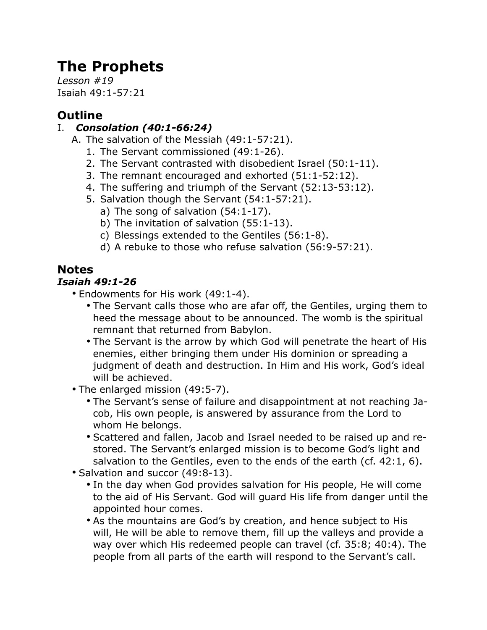# **The Prophets**

*Lesson #19* Isaiah 49:1-57:21

## **Outline**

## I. *Consolation (40:1-66:24)*

- A. The salvation of the Messiah (49:1-57:21).
	- 1. The Servant commissioned (49:1-26).
	- 2. The Servant contrasted with disobedient Israel (50:1-11).
	- 3. The remnant encouraged and exhorted (51:1-52:12).
	- 4. The suffering and triumph of the Servant (52:13-53:12).
	- 5. Salvation though the Servant (54:1-57:21).
		- a) The song of salvation (54:1-17).
		- b) The invitation of salvation (55:1-13).
		- c) Blessings extended to the Gentiles (56:1-8).
		- d) A rebuke to those who refuse salvation (56:9-57:21).

# **Notes**

### *Isaiah 49:1-26*

- Endowments for His work (49:1-4).
	- The Servant calls those who are afar off, the Gentiles, urging them to heed the message about to be announced. The womb is the spiritual remnant that returned from Babylon.
	- The Servant is the arrow by which God will penetrate the heart of His enemies, either bringing them under His dominion or spreading a judgment of death and destruction. In Him and His work, God's ideal will be achieved.
- The enlarged mission (49:5-7).
	- The Servant's sense of failure and disappointment at not reaching Jacob, His own people, is answered by assurance from the Lord to whom He belongs.
	- Scattered and fallen, Jacob and Israel needed to be raised up and restored. The Servant's enlarged mission is to become God's light and salvation to the Gentiles, even to the ends of the earth (cf. 42:1, 6).
- Salvation and succor (49:8-13).
	- In the day when God provides salvation for His people, He will come to the aid of His Servant. God will guard His life from danger until the appointed hour comes.
	- As the mountains are God's by creation, and hence subject to His will, He will be able to remove them, fill up the valleys and provide a way over which His redeemed people can travel (cf. 35:8; 40:4). The people from all parts of the earth will respond to the Servant's call.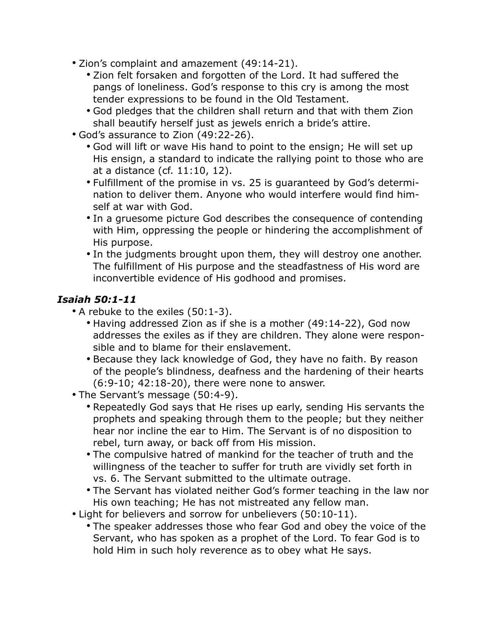- Zion's complaint and amazement (49:14-21).
	- Zion felt forsaken and forgotten of the Lord. It had suffered the pangs of loneliness. God's response to this cry is among the most tender expressions to be found in the Old Testament.
	- God pledges that the children shall return and that with them Zion shall beautify herself just as jewels enrich a bride's attire.
- God's assurance to Zion (49:22-26).
	- God will lift or wave His hand to point to the ensign; He will set up His ensign, a standard to indicate the rallying point to those who are at a distance (cf. 11:10, 12).
	- Fulfillment of the promise in vs. 25 is guaranteed by God's determination to deliver them. Anyone who would interfere would find himself at war with God.
	- In a gruesome picture God describes the consequence of contending with Him, oppressing the people or hindering the accomplishment of His purpose.
	- In the judgments brought upon them, they will destroy one another. The fulfillment of His purpose and the steadfastness of His word are inconvertible evidence of His godhood and promises.

#### *Isaiah 50:1-11*

- A rebuke to the exiles (50:1-3).
	- Having addressed Zion as if she is a mother (49:14-22), God now addresses the exiles as if they are children. They alone were responsible and to blame for their enslavement.
	- Because they lack knowledge of God, they have no faith. By reason of the people's blindness, deafness and the hardening of their hearts (6:9-10; 42:18-20), there were none to answer.
- The Servant's message (50:4-9).
	- Repeatedly God says that He rises up early, sending His servants the prophets and speaking through them to the people; but they neither hear nor incline the ear to Him. The Servant is of no disposition to rebel, turn away, or back off from His mission.
	- The compulsive hatred of mankind for the teacher of truth and the willingness of the teacher to suffer for truth are vividly set forth in vs. 6. The Servant submitted to the ultimate outrage.
	- The Servant has violated neither God's former teaching in the law nor His own teaching; He has not mistreated any fellow man.
- Light for believers and sorrow for unbelievers (50:10-11).
	- The speaker addresses those who fear God and obey the voice of the Servant, who has spoken as a prophet of the Lord. To fear God is to hold Him in such holy reverence as to obey what He says.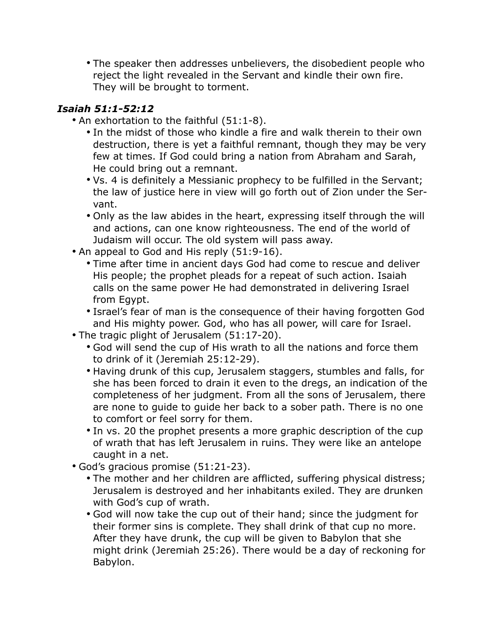• The speaker then addresses unbelievers, the disobedient people who reject the light revealed in the Servant and kindle their own fire. They will be brought to torment.

#### *Isaiah 51:1-52:12*

- An exhortation to the faithful (51:1-8).
	- In the midst of those who kindle a fire and walk therein to their own destruction, there is yet a faithful remnant, though they may be very few at times. If God could bring a nation from Abraham and Sarah, He could bring out a remnant.
	- Vs. 4 is definitely a Messianic prophecy to be fulfilled in the Servant; the law of justice here in view will go forth out of Zion under the Servant.
	- Only as the law abides in the heart, expressing itself through the will and actions, can one know righteousness. The end of the world of Judaism will occur. The old system will pass away.
- An appeal to God and His reply (51:9-16).
	- Time after time in ancient days God had come to rescue and deliver His people; the prophet pleads for a repeat of such action. Isaiah calls on the same power He had demonstrated in delivering Israel from Egypt.
	- Israel's fear of man is the consequence of their having forgotten God and His mighty power. God, who has all power, will care for Israel.
- The tragic plight of Jerusalem (51:17-20).
	- God will send the cup of His wrath to all the nations and force them to drink of it (Jeremiah 25:12-29).
	- Having drunk of this cup, Jerusalem staggers, stumbles and falls, for she has been forced to drain it even to the dregs, an indication of the completeness of her judgment. From all the sons of Jerusalem, there are none to guide to guide her back to a sober path. There is no one to comfort or feel sorry for them.
	- In vs. 20 the prophet presents a more graphic description of the cup of wrath that has left Jerusalem in ruins. They were like an antelope caught in a net.
- God's gracious promise (51:21-23).
	- The mother and her children are afflicted, suffering physical distress; Jerusalem is destroyed and her inhabitants exiled. They are drunken with God's cup of wrath.
	- God will now take the cup out of their hand; since the judgment for their former sins is complete. They shall drink of that cup no more. After they have drunk, the cup will be given to Babylon that she might drink (Jeremiah 25:26). There would be a day of reckoning for Babylon.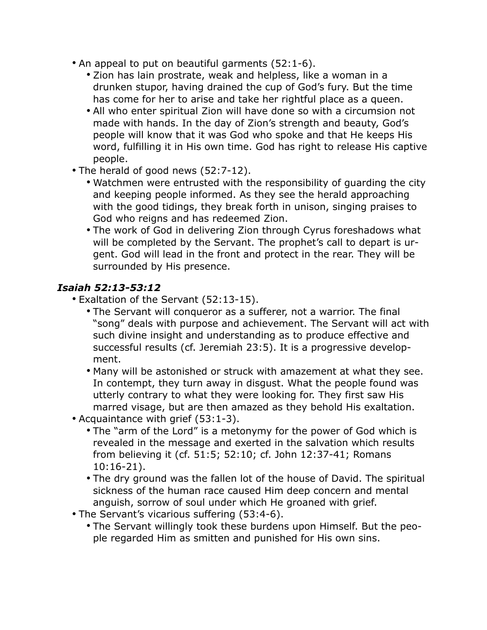- An appeal to put on beautiful garments (52:1-6).
	- Zion has lain prostrate, weak and helpless, like a woman in a drunken stupor, having drained the cup of God's fury. But the time has come for her to arise and take her rightful place as a queen.
	- All who enter spiritual Zion will have done so with a circumsion not made with hands. In the day of Zion's strength and beauty, God's people will know that it was God who spoke and that He keeps His word, fulfilling it in His own time. God has right to release His captive people.
- The herald of good news (52:7-12).
	- Watchmen were entrusted with the responsibility of guarding the city and keeping people informed. As they see the herald approaching with the good tidings, they break forth in unison, singing praises to God who reigns and has redeemed Zion.
	- The work of God in delivering Zion through Cyrus foreshadows what will be completed by the Servant. The prophet's call to depart is urgent. God will lead in the front and protect in the rear. They will be surrounded by His presence.

#### *Isaiah 52:13-53:12*

- Exaltation of the Servant (52:13-15).
	- The Servant will conqueror as a sufferer, not a warrior. The final "song" deals with purpose and achievement. The Servant will act with such divine insight and understanding as to produce effective and successful results (cf. Jeremiah 23:5). It is a progressive development.
	- Many will be astonished or struck with amazement at what they see. In contempt, they turn away in disgust. What the people found was utterly contrary to what they were looking for. They first saw His marred visage, but are then amazed as they behold His exaltation.
- Acquaintance with grief (53:1-3).
	- The "arm of the Lord" is a metonymy for the power of God which is revealed in the message and exerted in the salvation which results from believing it (cf. 51:5; 52:10; cf. John 12:37-41; Romans 10:16-21).
	- The dry ground was the fallen lot of the house of David. The spiritual sickness of the human race caused Him deep concern and mental anguish, sorrow of soul under which He groaned with grief.
- The Servant's vicarious suffering (53:4-6).
	- The Servant willingly took these burdens upon Himself. But the people regarded Him as smitten and punished for His own sins.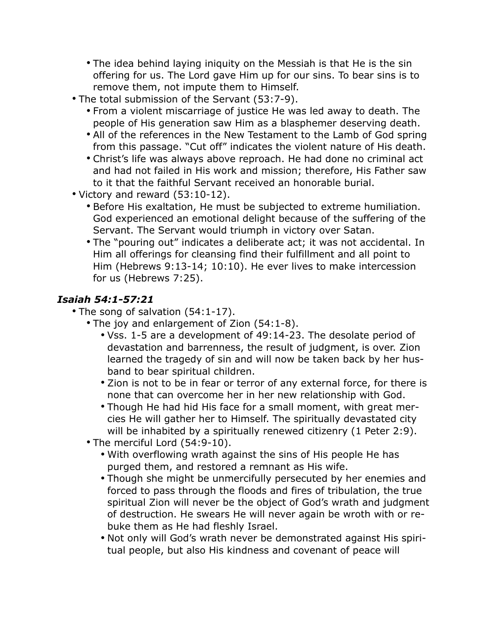- The idea behind laying iniquity on the Messiah is that He is the sin offering for us. The Lord gave Him up for our sins. To bear sins is to remove them, not impute them to Himself.
- The total submission of the Servant (53:7-9).
	- From a violent miscarriage of justice He was led away to death. The people of His generation saw Him as a blasphemer deserving death.
	- All of the references in the New Testament to the Lamb of God spring from this passage. "Cut off" indicates the violent nature of His death.
	- Christ's life was always above reproach. He had done no criminal act and had not failed in His work and mission; therefore, His Father saw to it that the faithful Servant received an honorable burial.
- Victory and reward (53:10-12).
	- Before His exaltation, He must be subjected to extreme humiliation. God experienced an emotional delight because of the suffering of the Servant. The Servant would triumph in victory over Satan.
	- The "pouring out" indicates a deliberate act; it was not accidental. In Him all offerings for cleansing find their fulfillment and all point to Him (Hebrews 9:13-14; 10:10). He ever lives to make intercession for us (Hebrews 7:25).

#### *Isaiah 54:1-57:21*

- The song of salvation (54:1-17).
	- The joy and enlargement of Zion (54:1-8).
		- Vss. 1-5 are a development of 49:14-23. The desolate period of devastation and barrenness, the result of judgment, is over. Zion learned the tragedy of sin and will now be taken back by her husband to bear spiritual children.
		- Zion is not to be in fear or terror of any external force, for there is none that can overcome her in her new relationship with God.
		- Though He had hid His face for a small moment, with great mercies He will gather her to Himself. The spiritually devastated city will be inhabited by a spiritually renewed citizenry (1 Peter 2:9).
	- The merciful Lord (54:9-10).
		- With overflowing wrath against the sins of His people He has purged them, and restored a remnant as His wife.
		- Though she might be unmercifully persecuted by her enemies and forced to pass through the floods and fires of tribulation, the true spiritual Zion will never be the object of God's wrath and judgment of destruction. He swears He will never again be wroth with or rebuke them as He had fleshly Israel.
		- Not only will God's wrath never be demonstrated against His spiritual people, but also His kindness and covenant of peace will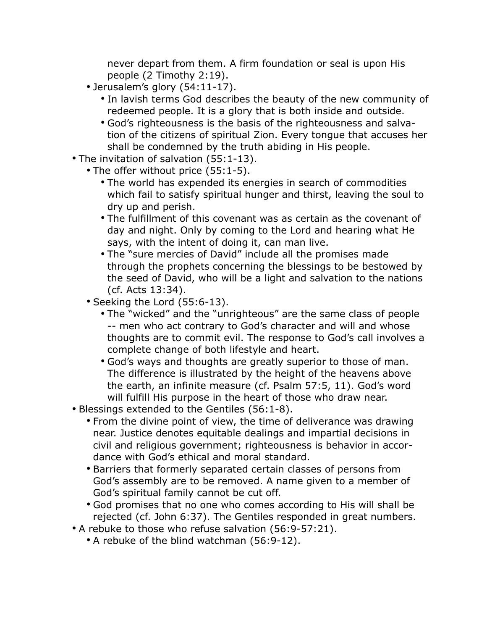never depart from them. A firm foundation or seal is upon His people (2 Timothy 2:19).

- Jerusalem's glory (54:11-17).
	- In lavish terms God describes the beauty of the new community of redeemed people. It is a glory that is both inside and outside.
	- God's righteousness is the basis of the righteousness and salvation of the citizens of spiritual Zion. Every tongue that accuses her shall be condemned by the truth abiding in His people.
- The invitation of salvation (55:1-13).
	- The offer without price (55:1-5).
		- The world has expended its energies in search of commodities which fail to satisfy spiritual hunger and thirst, leaving the soul to dry up and perish.
		- The fulfillment of this covenant was as certain as the covenant of day and night. Only by coming to the Lord and hearing what He says, with the intent of doing it, can man live.
		- The "sure mercies of David" include all the promises made through the prophets concerning the blessings to be bestowed by the seed of David, who will be a light and salvation to the nations (cf. Acts 13:34).
		- Seeking the Lord (55:6-13).
			- The "wicked" and the "unrighteous" are the same class of people -- men who act contrary to God's character and will and whose thoughts are to commit evil. The response to God's call involves a complete change of both lifestyle and heart.
			- God's ways and thoughts are greatly superior to those of man. The difference is illustrated by the height of the heavens above the earth, an infinite measure (cf. Psalm 57:5, 11). God's word will fulfill His purpose in the heart of those who draw near.
- Blessings extended to the Gentiles (56:1-8).
	- From the divine point of view, the time of deliverance was drawing near. Justice denotes equitable dealings and impartial decisions in civil and religious government; righteousness is behavior in accordance with God's ethical and moral standard.
	- Barriers that formerly separated certain classes of persons from God's assembly are to be removed. A name given to a member of God's spiritual family cannot be cut off.
	- God promises that no one who comes according to His will shall be rejected (cf. John 6:37). The Gentiles responded in great numbers.
- A rebuke to those who refuse salvation (56:9-57:21).
	- A rebuke of the blind watchman (56:9-12).